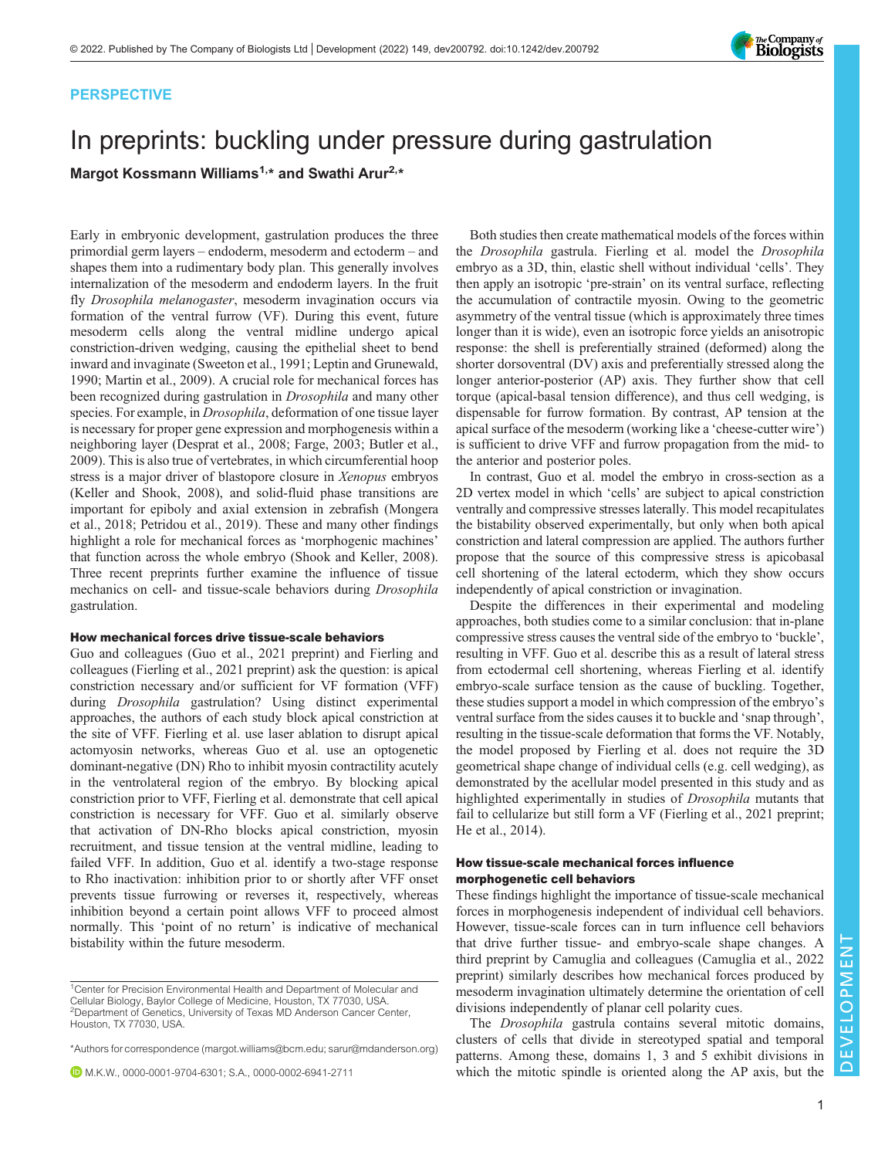

## PERSPECTIVE

# In preprints: buckling under pressure during gastrulation

Margot Kossmann Williams<sup>1,\*</sup> and Swathi Arur<sup>2,\*</sup>

Early in embryonic development, gastrulation produces the three primordial germ layers – endoderm, mesoderm and ectoderm – and shapes them into a rudimentary body plan. This generally involves internalization of the mesoderm and endoderm layers. In the fruit fly *Drosophila melanogaster*, mesoderm invagination occurs via formation of the ventral furrow (VF). During this event, future mesoderm cells along the ventral midline undergo apical constriction-driven wedging, causing the epithelial sheet to bend inward and invaginate [\(Sweeton et al., 1991; Leptin and Grunewald,](#page-1-0) [1990](#page-1-0); [Martin et al., 2009](#page-1-0)). A crucial role for mechanical forces has been recognized during gastrulation in Drosophila and many other species. For example, in *Drosophila*, deformation of one tissue layer is necessary for proper gene expression and morphogenesis within a neighboring layer ([Desprat et al., 2008; Farge, 2003](#page-1-0); [Butler et al.,](#page-1-0) [2009](#page-1-0)). This is also true of vertebrates, in which circumferential hoop stress is a major driver of blastopore closure in Xenopus embryos [\(Keller and Shook, 2008](#page-1-0)), and solid-fluid phase transitions are important for epiboly and axial extension in zebrafish [\(Mongera](#page-1-0) [et al., 2018; Petridou et al., 2019](#page-1-0)). These and many other findings highlight a role for mechanical forces as 'morphogenic machines' that function across the whole embryo ([Shook and Keller, 2008\)](#page-1-0). Three recent preprints further examine the influence of tissue mechanics on cell- and tissue-scale behaviors during Drosophila gastrulation.

## How mechanical forces drive tissue-scale behaviors

Guo and colleagues ([Guo et al., 2021 preprint\)](#page-1-0) and Fierling and colleagues [\(Fierling et al., 2021 preprint\)](#page-1-0) ask the question: is apical constriction necessary and/or sufficient for VF formation (VFF) during Drosophila gastrulation? Using distinct experimental approaches, the authors of each study block apical constriction at the site of VFF. Fierling et al. use laser ablation to disrupt apical actomyosin networks, whereas Guo et al. use an optogenetic dominant-negative (DN) Rho to inhibit myosin contractility acutely in the ventrolateral region of the embryo. By blocking apical constriction prior to VFF, Fierling et al. demonstrate that cell apical constriction is necessary for VFF. Guo et al. similarly observe that activation of DN-Rho blocks apical constriction, myosin recruitment, and tissue tension at the ventral midline, leading to failed VFF. In addition, Guo et al. identify a two-stage response to Rho inactivation: inhibition prior to or shortly after VFF onset prevents tissue furrowing or reverses it, respectively, whereas inhibition beyond a certain point allows VFF to proceed almost normally. This 'point of no return' is indicative of mechanical bistability within the future mesoderm.

M.K.W., [0000-0001-9704-6301;](http://orcid.org/0000-0001-9704-6301) S.A., [0000-0002-6941-2711](http://orcid.org/0000-0002-6941-2711)

Both studies then create mathematical models of the forces within the Drosophila gastrula. Fierling et al. model the Drosophila embryo as a 3D, thin, elastic shell without individual 'cells'. They then apply an isotropic 'pre-strain' on its ventral surface, reflecting the accumulation of contractile myosin. Owing to the geometric asymmetry of the ventral tissue (which is approximately three times longer than it is wide), even an isotropic force yields an anisotropic response: the shell is preferentially strained (deformed) along the shorter dorsoventral (DV) axis and preferentially stressed along the longer anterior-posterior (AP) axis. They further show that cell torque (apical-basal tension difference), and thus cell wedging, is dispensable for furrow formation. By contrast, AP tension at the apical surface of the mesoderm (working like a 'cheese-cutter wire') is sufficient to drive VFF and furrow propagation from the mid- to the anterior and posterior poles.

In contrast, Guo et al. model the embryo in cross-section as a 2D vertex model in which 'cells' are subject to apical constriction ventrally and compressive stresses laterally. This model recapitulates the bistability observed experimentally, but only when both apical constriction and lateral compression are applied. The authors further propose that the source of this compressive stress is apicobasal cell shortening of the lateral ectoderm, which they show occurs independently of apical constriction or invagination.

Despite the differences in their experimental and modeling approaches, both studies come to a similar conclusion: that in-plane compressive stress causes the ventral side of the embryo to 'buckle', resulting in VFF. Guo et al. describe this as a result of lateral stress from ectodermal cell shortening, whereas Fierling et al. identify embryo-scale surface tension as the cause of buckling. Together, these studies support a model in which compression of the embryo's ventral surface from the sides causes it to buckle and 'snap through', resulting in the tissue-scale deformation that forms the VF. Notably, the model proposed by Fierling et al. does not require the 3D geometrical shape change of individual cells (e.g. cell wedging), as demonstrated by the acellular model presented in this study and as highlighted experimentally in studies of Drosophila mutants that fail to cellularize but still form a VF ([Fierling et al., 2021](#page-1-0) preprint; [He et al., 2014](#page-1-0)).

## How tissue-scale mechanical forces influence morphogenetic cell behaviors

These findings highlight the importance of tissue-scale mechanical forces in morphogenesis independent of individual cell behaviors. However, tissue-scale forces can in turn influence cell behaviors that drive further tissue- and embryo-scale shape changes. A third preprint by Camuglia and colleagues ([Camuglia et al., 2022](#page-1-0) [preprint\)](#page-1-0) similarly describes how mechanical forces produced by mesoderm invagination ultimately determine the orientation of cell divisions independently of planar cell polarity cues.

The Drosophila gastrula contains several mitotic domains, clusters of cells that divide in stereotyped spatial and temporal patterns. Among these, domains 1, 3 and 5 exhibit divisions in which the mitotic spindle is oriented along the AP axis, but the

<sup>&</sup>lt;sup>1</sup> Center for Precision Environmental Health and Department of Molecular and Cellular Biology, Baylor College of Medicine, Houston, TX 77030, USA. 2Department of Genetics, University of Texas MD Anderson Cancer Center, Houston, TX 77030, USA.

<sup>\*</sup>Authors for correspondence [\(margot.williams@bcm.edu](mailto:margot.williams@bcm.edu); [sarur@mdanderson.org\)](mailto:sarur@mdanderson.org)